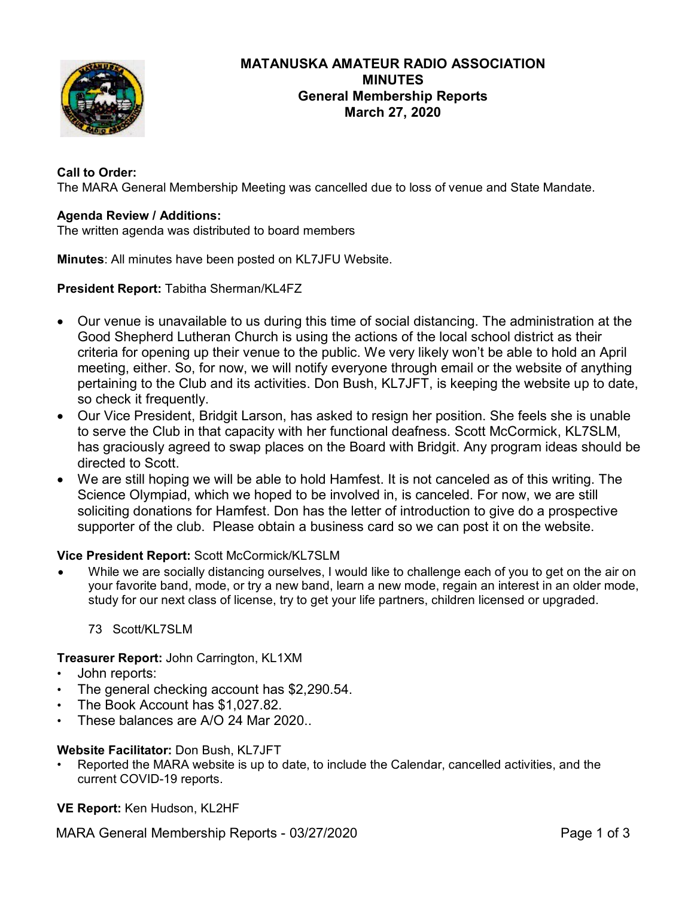

# **MATANUSKA AMATEUR RADIO ASSOCIATION MINUTES General Membership Reports March 27, 2020**

# **Call to Order:**

The MARA General Membership Meeting was cancelled due to loss of venue and State Mandate.

#### **Agenda Review / Additions:**

The written agenda was distributed to board members

**Minutes**: All minutes have been posted on KL7JFU Website.

# **President Report:** Tabitha Sherman/KL4FZ

- Our venue is unavailable to us during this time of social distancing. The administration at the Good Shepherd Lutheran Church is using the actions of the local school district as their criteria for opening up their venue to the public. We very likely won't be able to hold an April meeting, either. So, for now, we will notify everyone through email or the website of anything pertaining to the Club and its activities. Don Bush, KL7JFT, is keeping the website up to date, so check it frequently.
- Our Vice President, Bridgit Larson, has asked to resign her position. She feels she is unable to serve the Club in that capacity with her functional deafness. Scott McCormick, KL7SLM, has graciously agreed to swap places on the Board with Bridgit. Any program ideas should be directed to Scott.
- We are still hoping we will be able to hold Hamfest. It is not canceled as of this writing. The Science Olympiad, which we hoped to be involved in, is canceled. For now, we are still soliciting donations for Hamfest. Don has the letter of introduction to give do a prospective supporter of the club. Please obtain a business card so we can post it on the website.

#### **Vice President Report:** Scott McCormick/KL7SLM

• While we are socially distancing ourselves, I would like to challenge each of you to get on the air on your favorite band, mode, or try a new band, learn a new mode, regain an interest in an older mode, study for our next class of license, try to get your life partners, children licensed or upgraded.

#### 73 Scott/KL7SLM

**Treasurer Report:** John Carrington, KL1XM

- John reports:
- The general checking account has \$2,290.54.
- The Book Account has \$1,027.82.
- These balances are A/O 24 Mar 2020..

#### **Website Facilitator:** Don Bush, KL7JFT

• Reported the MARA website is up to date, to include the Calendar, cancelled activities, and the current COVID-19 reports.

**VE Report:** Ken Hudson, KL2HF

MARA General Membership Reports - 03/27/2020 Page 1 of 3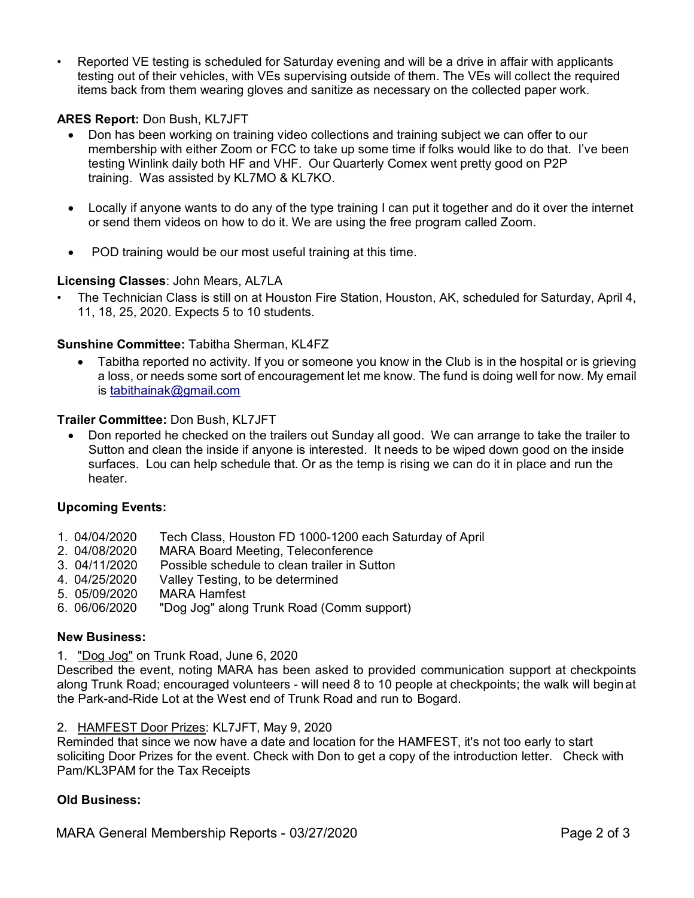• Reported VE testing is scheduled for Saturday evening and will be a drive in affair with applicants testing out of their vehicles, with VEs supervising outside of them. The VEs will collect the required items back from them wearing gloves and sanitize as necessary on the collected paper work.

# **ARES Report:** Don Bush, KL7JFT

- Don has been working on training video collections and training subject we can offer to our membership with either Zoom or FCC to take up some time if folks would like to do that. I've been testing Winlink daily both HF and VHF. Our Quarterly Comex went pretty good on P2P training. Was assisted by KL7MO & KL7KO.
- Locally if anyone wants to do any of the type training I can put it together and do it over the internet or send them videos on how to do it. We are using the free program called Zoom.
- POD training would be our most useful training at this time.

#### **Licensing Classes**: John Mears, AL7LA

• The Technician Class is still on at Houston Fire Station, Houston, AK, scheduled for Saturday, April 4, 11, 18, 25, 2020. Expects 5 to 10 students.

#### **Sunshine Committee:** Tabitha Sherman, KL4FZ

• Tabitha reported no activity. If you or someone you know in the Club is in the hospital or is grieving a loss, or needs some sort of encouragement let me know. The fund is doing well for now. My email is [tabithainak@gmail.com](mailto:tabithainak@gmail.com)

#### **Trailer Committee:** Don Bush, KL7JFT

• Don reported he checked on the trailers out Sunday all good. We can arrange to take the trailer to Sutton and clean the inside if anyone is interested. It needs to be wiped down good on the inside surfaces. Lou can help schedule that. Or as the temp is rising we can do it in place and run the heater.

#### **Upcoming Events:**

- 1. 04/04/2020 Tech Class, Houston FD 1000-1200 each Saturday of April
- 2. 04/08/2020 MARA Board Meeting, Teleconference
- 3. 04/11/2020 Possible schedule to clean trailer in Sutton<br>4. 04/25/2020 Vallev Testing, to be determined
- Valley Testing, to be determined
- 5. 05/09/2020 MARA Hamfest
- 6. 06/06/2020 "Dog Jog" along Trunk Road (Comm support)

#### **New Business:**

1. "Dog Jog" on Trunk Road, June 6, 2020

Described the event, noting MARA has been asked to provided communication support at checkpoints along Trunk Road; encouraged volunteers - will need 8 to 10 people at checkpoints; the walk will begin at the Park-and-Ride Lot at the West end of Trunk Road and run to Bogard.

#### 2. HAMFEST Door Prizes: KL7JFT, May 9, 2020

Reminded that since we now have a date and location for the HAMFEST, it's not too early to start soliciting Door Prizes for the event. Check with Don to get a copy of the introduction letter. Check with Pam/KL3PAM for the Tax Receipts

#### **Old Business:**